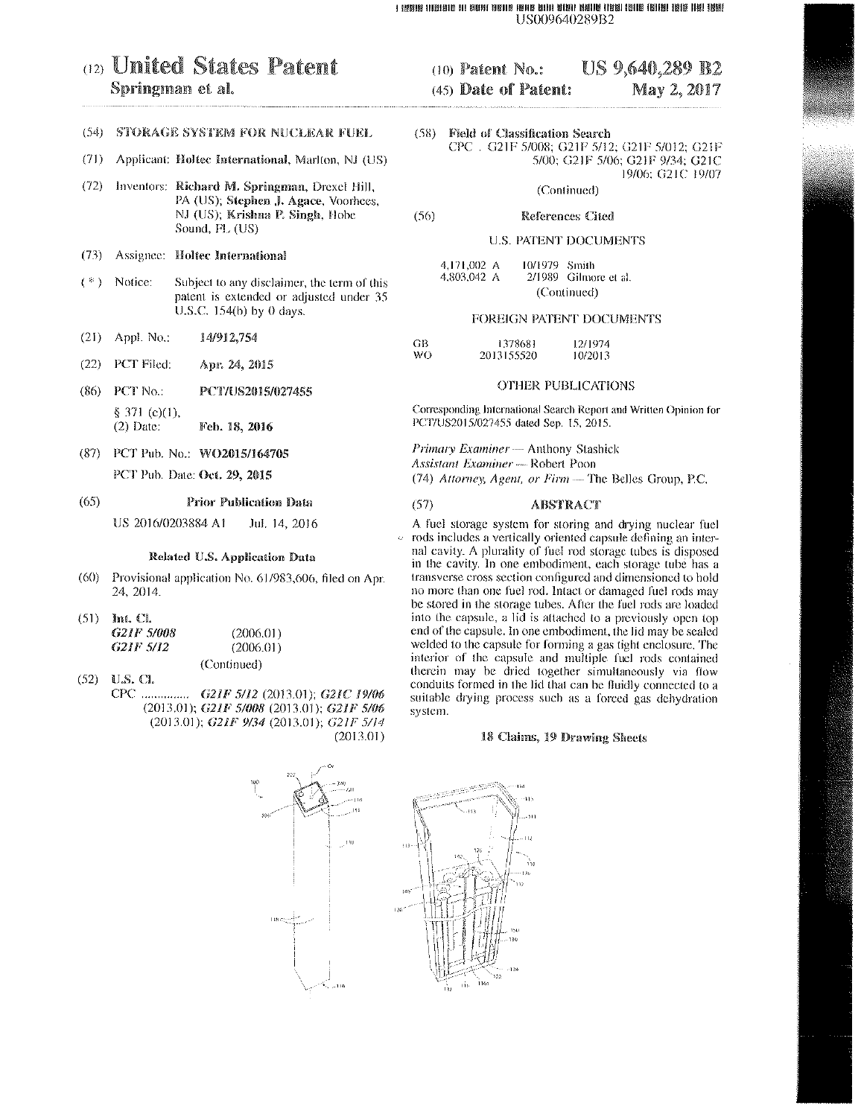#### I IRISIB INBIBIIS NI BISHI BISHIB IBNIS BITII BIBNI BIBNIS ITBIBI IBNIS IBNIBI IBNIS INBI IBNIS I US009640289B2

# (12) United States Patent Springman et al.

# (54) STORAGE SYSTEM FOR NUCLEAR FUEL

- $(71)$ Applicant: Holtec International, Marlton, NJ (US)
- (72) Inventors: Richard M. Springman, Drexel Hill, PA (US); Stephen J. Agace, Voorhees, NJ (US); Krishna P. Singh, Hobe Sound, FL (US)
- $(73)$ Assignee: Holtec International
- $($  \*  $)$ Notice: Subject to any disclaimer, the term of this patent is extended or adjusted under 35 U.S.C. 154(b) by 0 days.
- $(21)$ Appl. No. 14/912,754
- $(22)$ PCT Filed: Apr. 24, 2015
- $(86)$ PCT No.: PCT/US2015/027455 § 371 (c)(1),  $(2)$  Date: Feb. 18, 2016
- (87) PCT Pub. No.: WO2015/164705 PCT Pub. Date: Oct. 29, 2015

#### $(65)$ **Prior Publication Data**

US 2016/0203884 A1 Jul. 14, 2016

#### Related U.S. Application Data

- $(60)$ Provisional application No. 61/983,606, filed on Apr. 24, 2014.
- $(51)$  Int. Cl.

| G <sub>21</sub> F 5/008 | (2006.01)   |
|-------------------------|-------------|
| G21F 5/12               | (2006.01)   |
|                         | (Continued) |

 $(52)$  U.S. Cl. CPC ............... G21F 5/12 (2013.01); G21C 19/06 (2013.01); G21F 5/008 (2013.01); G21F 5/06 (2013.01); G21F 9/34 (2013.01); G21F 5/14  $(2013.01)$ 

#### (10) Patent No.: **US 9,640,289 B2** (45) Date of Patent: May 2, 2017

 $(58)$ **Field of Classification Search** CPC . G21F 5/008; G21F 5/12; G21F 5/012; G21F 5/00; G21F 5/06; G21F 9/34; G21C 19/06; G21C 19/07

(Continued)

#### **References Cited**

 $(56)$ 

## **U.S. PATENT DOCUMENTS**

| 4,171,002 A | 10/1979 Smith |                       |  |
|-------------|---------------|-----------------------|--|
| 4,803,042 A |               | 2/1989 Gilmore et al. |  |
|             | (Continued)   |                       |  |

#### FOREIGN PATENT DOCUMENTS

| GB  | 1378681    | 12/1974 |
|-----|------------|---------|
| WO. | 2013155520 | 10/2013 |

### **OTHER PUBLICATIONS**

Corresponding International Search Report and Written Opinion for PCT/US2015/027455 dated Sep. 15, 2015.

Primary Examiner - Anthony Stashick Assistant Examiner - Robert Poon (74) Attorney, Agent, or Firm - The Belles Group, P.C.

#### $(57)$ **ABSTRACT**

A fuel storage system for storing and drying nuclear fuel rods includes a vertically oriented capsule defining an internal cavity. A plurality of fuel rod storage tubes is disposed in the cavity. In one embodiment, each storage tube has a transverse cross section configured and dimensioned to hold no more than one fuel rod. Intact or damaged fuel rods may be stored in the storage tubes. After the fuel rods are loaded into the capsule, a lid is attached to a previously open top end of the capsule. In one embodiment, the lid may be sealed welded to the capsule for forming a gas tight enclosure. The interior of the capsule and multiple fuel rods contained therein may be dried together simultaneously via flow conduits formed in the lid that can be fluidly connected to a suitable drying process such as a forced gas dehydration system.

## 18 Claims, 19 Drawing Sheets

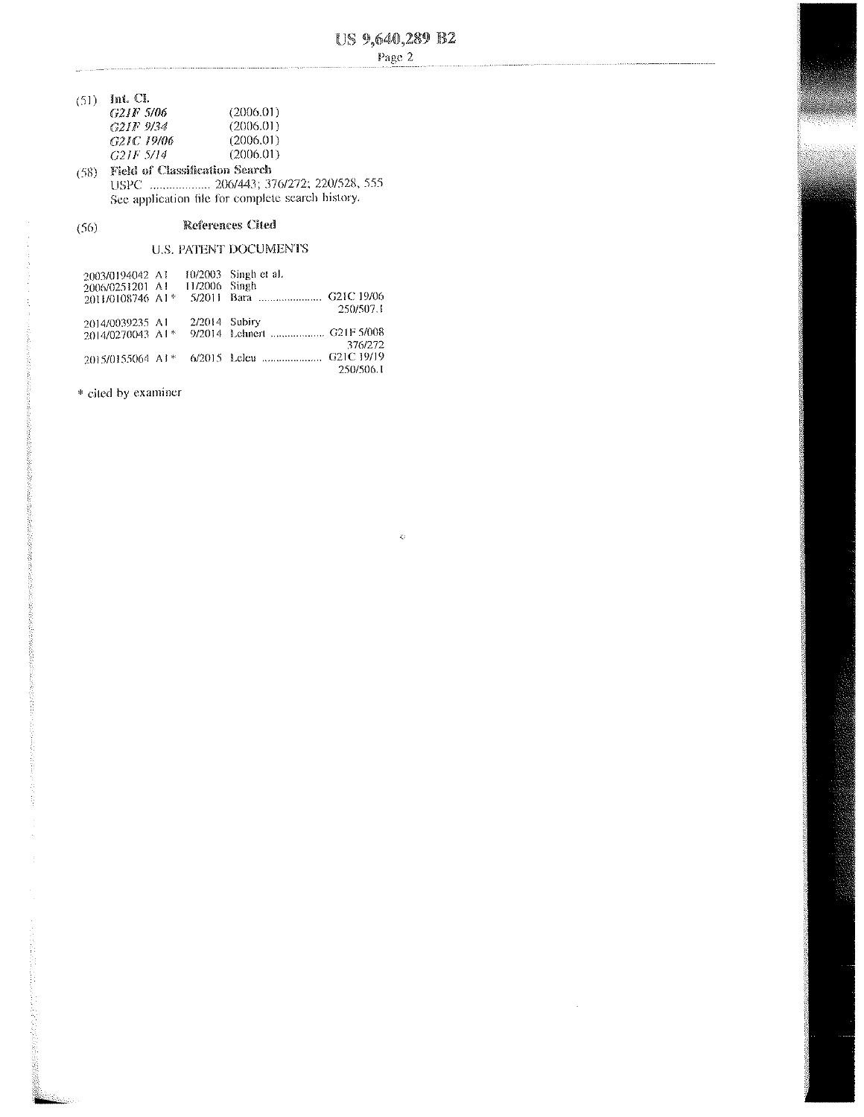$\hat{Q}$ 

 $\mathcal{L}$ 

- $(51)$  Int. Cl. G21F 5/06
- $(2006.01)$ G21F 9/34<br>G21C 19/06  $(2006.01)$  $(2006.01)$  $G2IF\;S\!I4$  $(2006.01)$ (58) Field of Classification Search
- See application file for complete search history.

#### References Cited  $(56)$

# **U.S. PATENT DOCUMENTS**

| 2003/0194042 A1                |                 | $10/2003$ Singh et al. |
|--------------------------------|-----------------|------------------------|
| 2006/0251201 A1                | 11/2006 Singh   |                        |
| 2011/0108746 A1*               |                 |                        |
|                                |                 | 250/507.1              |
| 2014/0039235 A1                | $2/2014$ Subiry |                        |
| 2014/0270043 A1*               |                 |                        |
|                                |                 | 376/272                |
| $2015/0155064$ Al <sup>*</sup> |                 |                        |
|                                |                 | 250/506.I              |

\* cited by examiner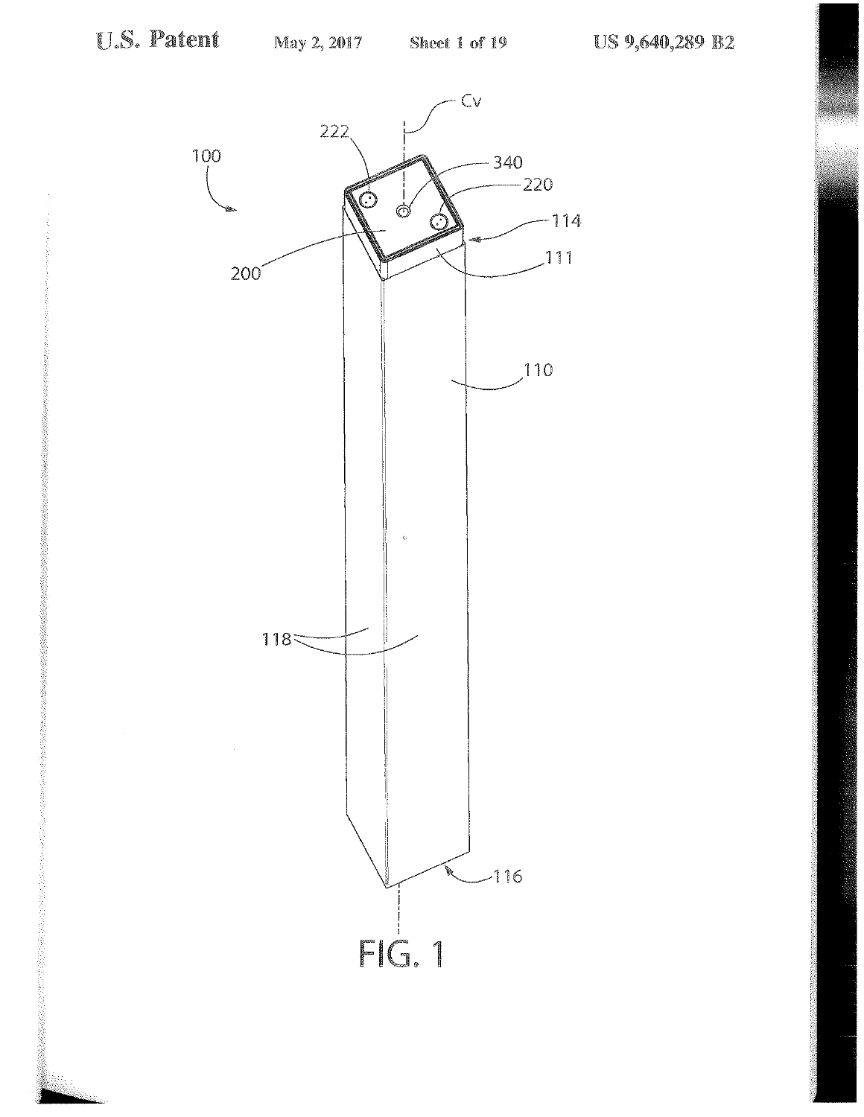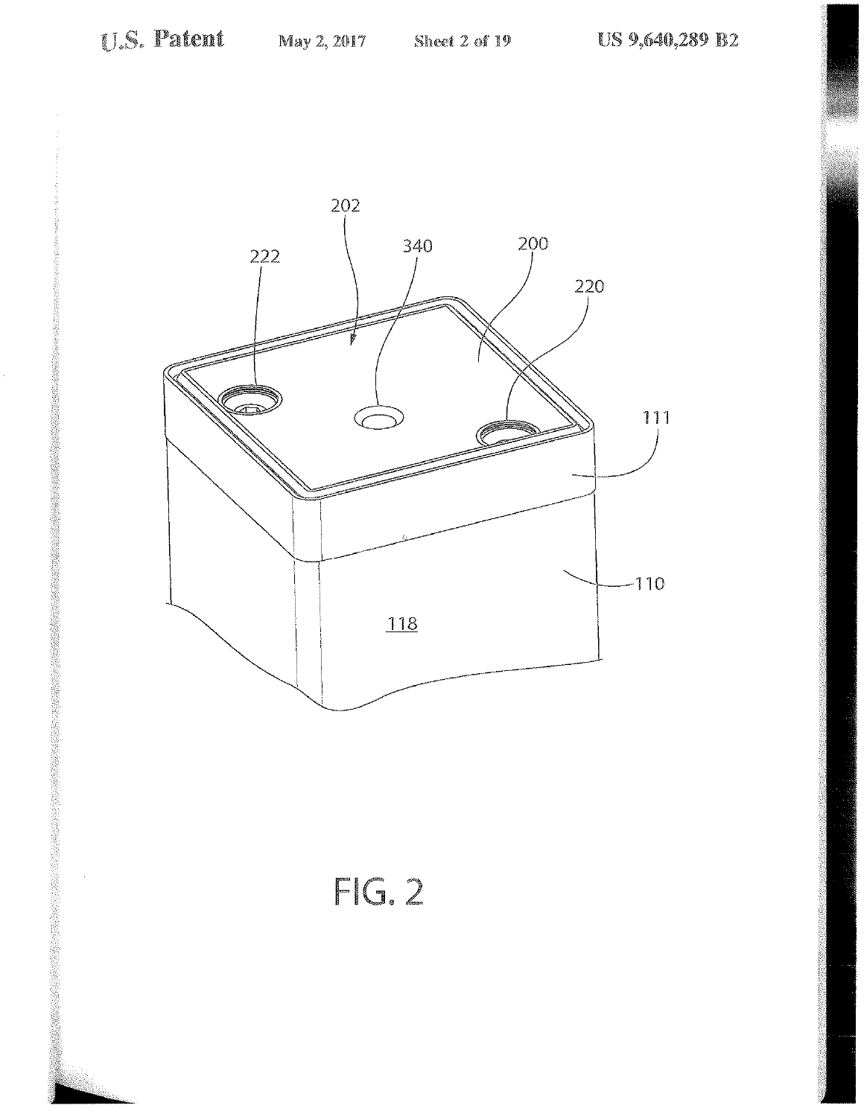$\bar{\mathcal{A}}$ 



# $FIG. 2$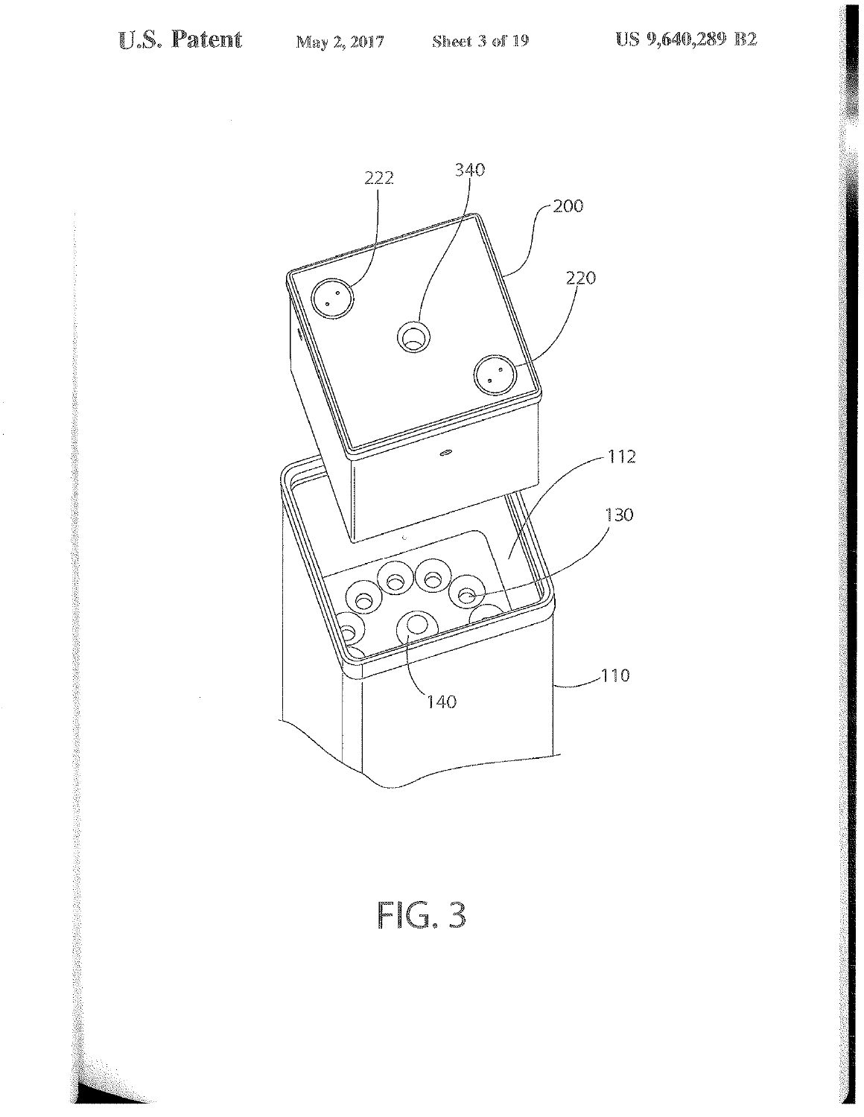

 $FIG.3$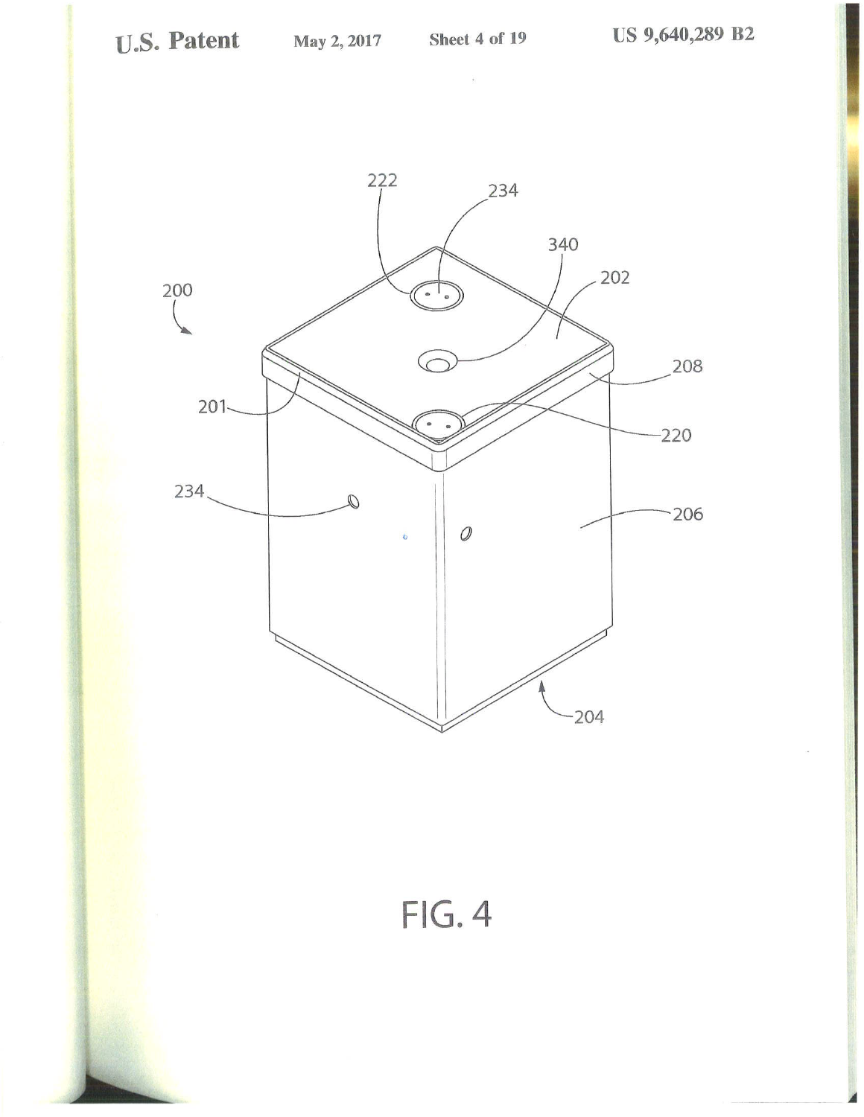$\frac{1}{2}$  ) and  $\frac{1}{2}$ 



 $FIG. 4$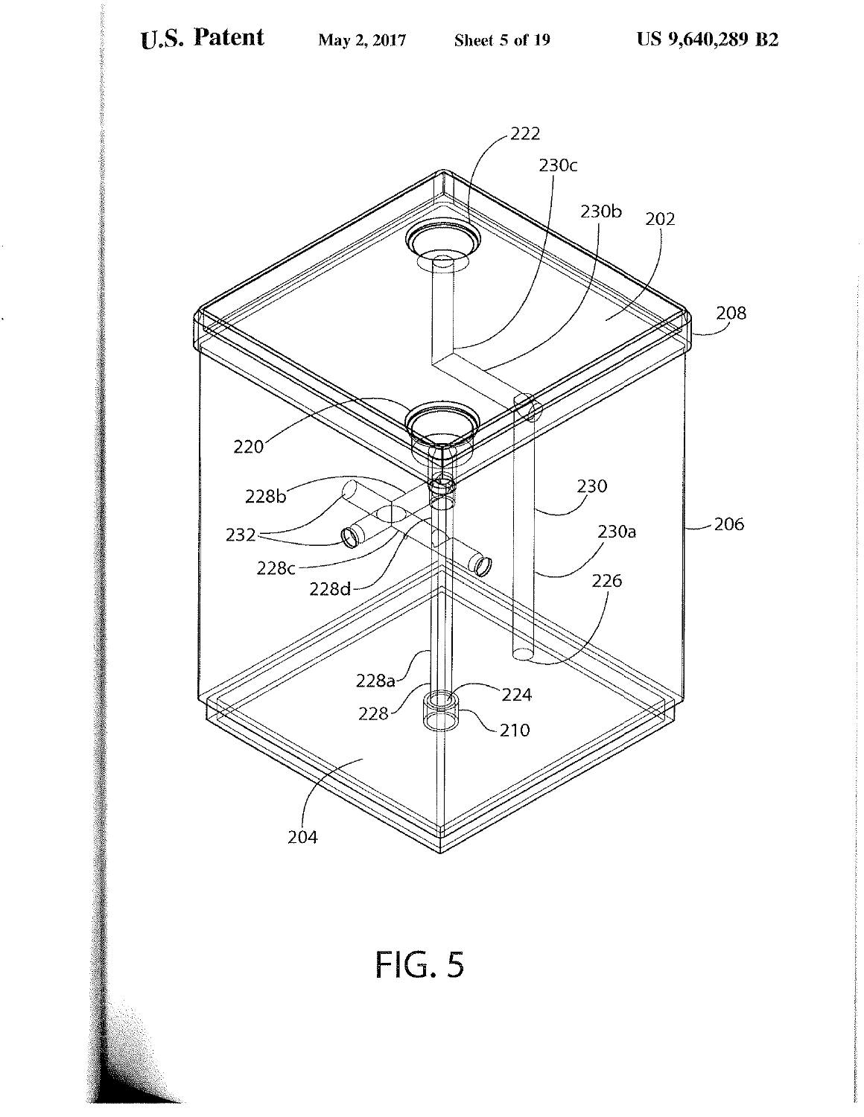

 $FIG. 5$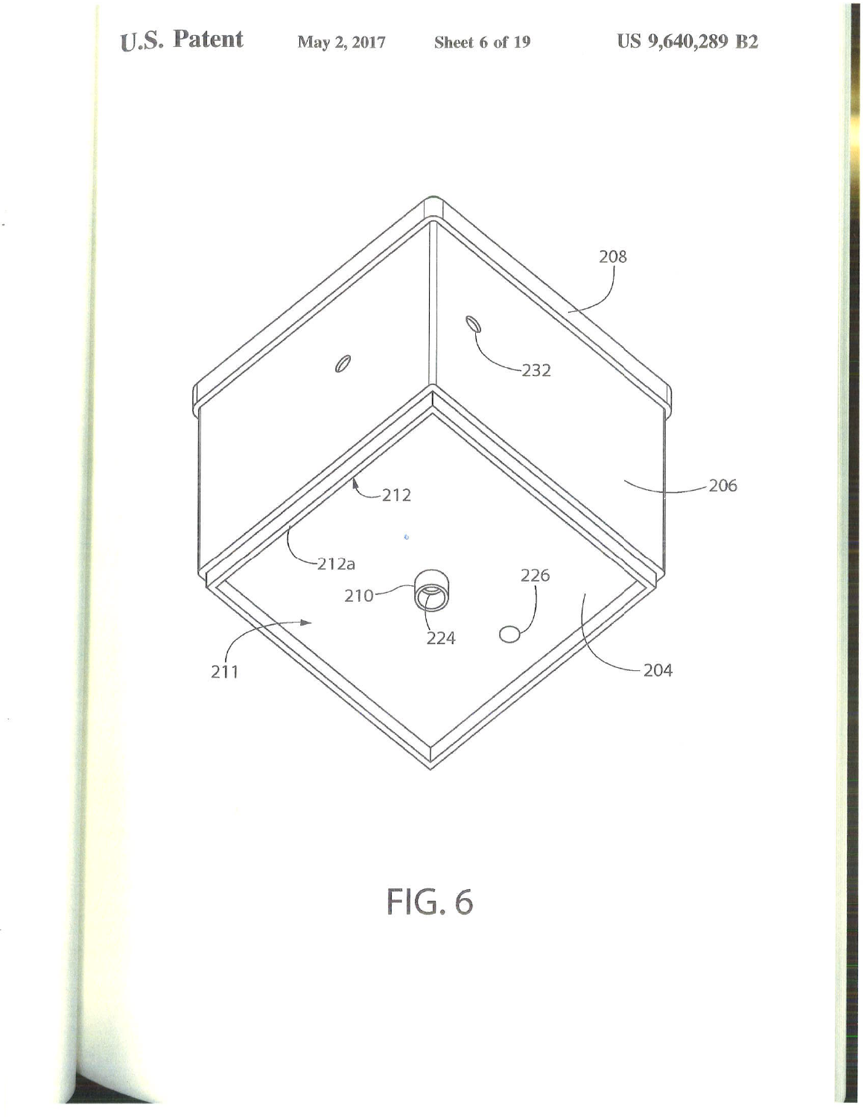

FIG.6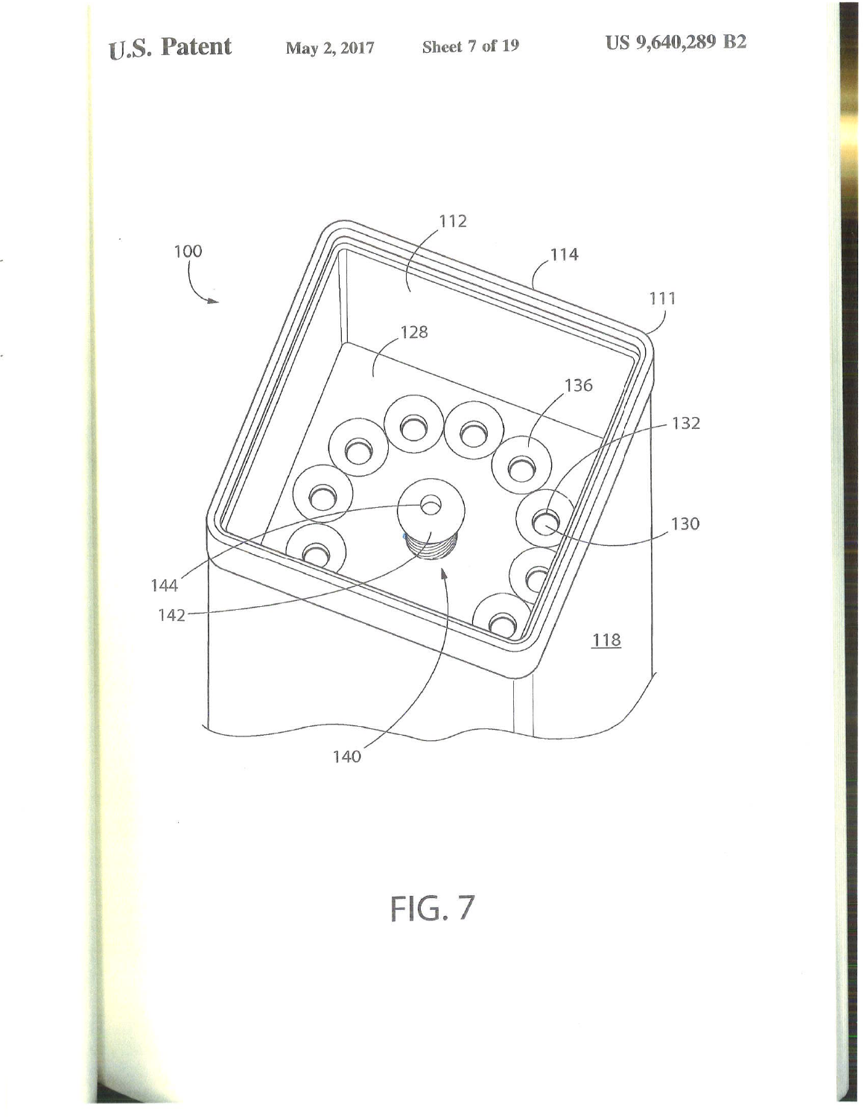

FIG. 7